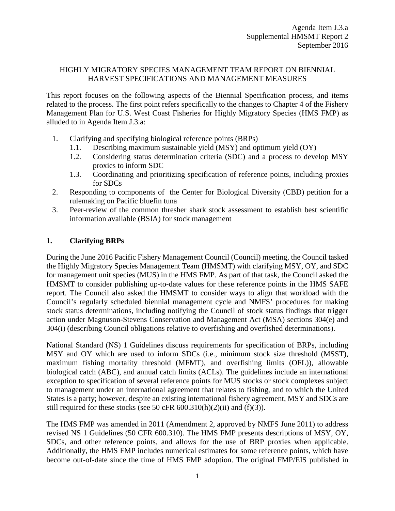#### HIGHLY MIGRATORY SPECIES MANAGEMENT TEAM REPORT ON BIENNIAL HARVEST SPECIFICATIONS AND MANAGEMENT MEASURES

This report focuses on the following aspects of the Biennial Specification process, and items related to the process. The first point refers specifically to the changes to Chapter 4 of the Fishery Management Plan for U.S. West Coast Fisheries for Highly Migratory Species (HMS FMP) as alluded to in [Agenda Item J.3.a:](http://www.pcouncil.org/wp-content/uploads/2016/08/J3a_HMSMT_Rpt_Housekeeping_SEPT2016BB.pdf)

- 1. Clarifying and specifying biological reference points (BRPs)
	- 1.1. Describing maximum sustainable yield (MSY) and optimum yield (OY)
	- 1.2. Considering status determination criteria (SDC) and a process to develop MSY proxies to inform SDC
	- 1.3. Coordinating and prioritizing specification of reference points, including proxies for SDCs
- 2. Responding to components of the Center for Biological Diversity (CBD) petition for a rulemaking on Pacific bluefin tuna
- 3. Peer-review of the common thresher shark stock assessment to establish best scientific information available (BSIA) for stock management

#### **1. Clarifying BRPs**

During the June 2016 Pacific Fishery Management Council (Council) meeting, the Council tasked the Highly Migratory Species Management Team (HMSMT) with clarifying MSY, OY, and SDC for management unit species (MUS) in the HMS FMP. As part of that task, the Council asked the HMSMT to consider publishing up-to-date values for these reference points in the HMS SAFE report. The Council also asked the HMSMT to consider ways to align that workload with the Council's regularly scheduled biennial management cycle and NMFS' procedures for making stock status determinations, including notifying the Council of stock status findings that trigger action under Magnuson-Stevens Conservation and Management Act (MSA) sections 304(e) and 304(i) (describing Council obligations relative to overfishing and overfished determinations).

National Standard (NS) 1 Guidelines discuss requirements for specification of BRPs, including MSY and OY which are used to inform SDCs (i.e., minimum stock size threshold (MSST), maximum fishing mortality threshold (MFMT), and overfishing limits (OFL)), allowable biological catch (ABC), and annual catch limits (ACLs). The guidelines include an international exception to specification of several reference points for MUS stocks or stock complexes subject to management under an international agreement that relates to fishing, and to which the United States is a party; however, despite an existing international fishery agreement, MSY and SDCs are still required for these stocks (see 50 cFR  $600.310(h)(2)(ii)$  and  $(f)(3)$ ).

The HMS FMP was amended in 2011 [\(Amendment](http://www.pcouncil.org/highly-migratory-species/fishery-management-plan-and-amendments/amendment-2/) [2,](http://www.pcouncil.org/highly-migratory-species/fishery-management-plan-and-amendments/amendment-2/) approved by NMFS June 2011) to address revised NS 1 Guidelines (50 CFR 600.310). The HMS FMP presents descriptions of MSY, OY, SDCs, and other reference points, and allows for the use of BRP proxies when applicable. Additionally, the HMS FMP includes numerical estimates for some reference points, which have become out-of-date since the time of HMS FMP adoption. The original FMP/EIS published in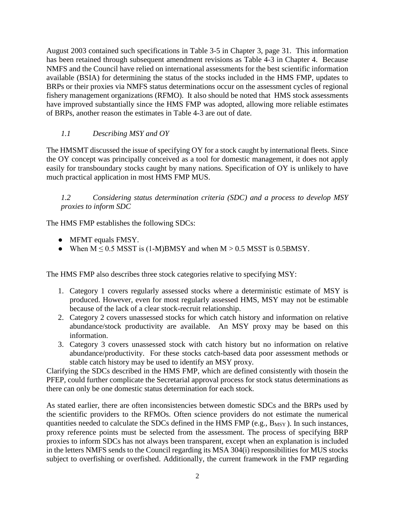August 2003 contained such specifications in Table 3-5 in Chapter 3, page 31. This information has been retained through subsequent amendment revisions as Table 4-3 in Chapter 4. Because NMFS and the Council have relied on international assessments for the best scientific information available (BSIA) for determining the status of the stocks included in the HMS FMP, updates to BRPs or their proxies via NMFS status determinations occur on the assessment cycles of regional fishery management organizations (RFMO). It also should be noted that HMS stock assessments have improved substantially since the HMS FMP was adopted, allowing more reliable estimates of BRPs, another reason the estimates in Table 4-3 are out of date.

# *1.1 Describing MSY and OY*

The HMSMT discussed the issue of specifying OY for a stock caught by international fleets. Since the OY concept was principally conceived as a tool for domestic management, it does not apply easily for transboundary stocks caught by many nations. Specification of OY is unlikely to have much practical application in most HMS FMP MUS.

*1.2 Considering status determination criteria (SDC) and a process to develop MSY proxies to inform SDC*

The HMS FMP establishes the following SDCs:

- MFMT equals FMSY.
- When  $M \le 0.5$  MSST is (1-M)BMSY and when  $M > 0.5$  MSST is 0.5BMSY.

The HMS FMP also describes three stock categories relative to specifying MSY:

- 1. Category 1 covers regularly assessed stocks where a deterministic estimate of MSY is produced. However, even for most regularly assessed HMS, MSY may not be estimable because of the lack of a clear stock-recruit relationship.
- 2. Category 2 covers unassessed stocks for which catch history and information on relative abundance/stock productivity are available. An MSY proxy may be based on this information.
- 3. Category 3 covers unassessed stock with catch history but no information on relative abundance/productivity. For these stocks catch-based data poor assessment methods or stable catch history may be used to identify an MSY proxy.

Clarifying the SDCs described in the HMS FMP, which are defined consistently with thosein the PFEP, could further complicate the Secretarial approval process for stock status determinations as there can only be one domestic status determination for each stock.

As stated earlier, there are often inconsistencies between domestic SDCs and the BRPs used by the scientific providers to the RFMOs. Often science providers do not estimate the numerical quantities needed to calculate the SDCs defined in the HMS FMP (e.g.,  $B_{MSY}$ ). In such instances, proxy reference points must be selected from the assessment. The process of specifying BRP proxies to inform SDCs has not always been transparent, except when an explanation is included in the letters NMFS sends to the Council regarding its MSA 304(i) responsibilities for MUS stocks subject to overfishing or overfished. Additionally, the current framework in the FMP regarding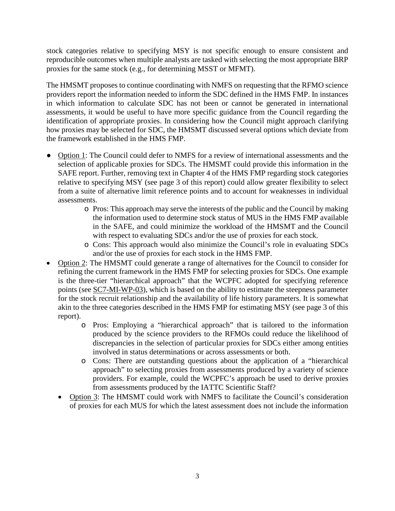stock categories relative to specifying MSY is not specific enough to ensure consistent and reproducible outcomes when multiple analysts are tasked with selecting the most appropriate BRP proxies for the same stock (e.g., for determining MSST or MFMT).

The HMSMT proposes to continue coordinating with NMFS on requesting that the RFMO science providers report the information needed to inform the SDC defined in the HMS FMP. In instances in which information to calculate SDC has not been or cannot be generated in international assessments, it would be useful to have more specific guidance from the Council regarding the identification of appropriate proxies. In considering how the Council might approach clarifying how proxies may be selected for SDC, the HMSMT discussed several options which deviate from the framework established in the HMS FMP.

- Option 1: The Council could defer to NMFS for a review of international assessments and the selection of applicable proxies for SDCs. The HMSMT could provide this information in the SAFE report. Further, removing text in Chapter 4 of the HMS FMP regarding stock categories relative to specifying MSY (see page 3 of this report) could allow greater flexibility to select from a suite of alternative limit reference points and to account for weaknesses in individual assessments.
	- o Pros: This approach may serve the interests of the public and the Council by making the information used to determine stock status of MUS in the HMS FMP available in the SAFE, and could minimize the workload of the HMSMT and the Council with respect to evaluating SDCs and/or the use of proxies for each stock.
	- o Cons: This approach would also minimize the Council's role in evaluating SDCs and/or the use of proxies for each stock in the HMS FMP.
- Option 2: The HMSMT could generate a range of alternatives for the Council to consider for refining the current framework in the HMS FMP for selecting proxies for SDCs. One example is the three-tier "hierarchical approach" that the WCPFC adopted for specifying reference points (see SC7-MI-WP-03), which is based on the ability to estimate the steepness parameter for the stock recruit relationship and the availability of life history parameters. It is somewhat akin to the three categories described in the HMS FMP for estimating MSY (see page 3 of this report).
	- o Pros: Employing a "hierarchical approach" that is tailored to the information produced by the science providers to the RFMOs could reduce the likelihood of discrepancies in the selection of particular proxies for SDCs either among entities involved in status determinations or across assessments or both.
	- o Cons: There are outstanding questions about the application of a "hierarchical approach" to selecting proxies from assessments produced by a variety of science providers. For example, could the WCPFC's approach be used to derive proxies from assessments produced by the IATTC Scientific Staff?
	- Option 3: The HMSMT could work with NMFS to facilitate the Council's consideration of proxies for each MUS for which the latest assessment does not include the information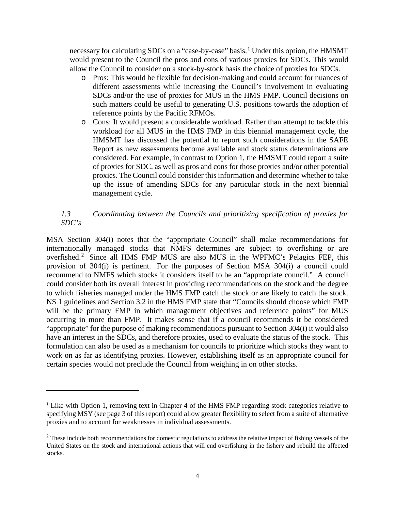necessary for calculating SDCs on a "case-by-case" basis.<sup>[1](#page-3-0)</sup> Under this option, the HMSMT would present to the Council the pros and cons of various proxies for SDCs. This would allow the Council to consider on a stock-by-stock basis the choice of proxies for SDCs.

- o Pros: This would be flexible for decision-making and could account for nuances of different assessments while increasing the Council's involvement in evaluating SDCs and/or the use of proxies for MUS in the HMS FMP. Council decisions on such matters could be useful to generating U.S. positions towards the adoption of reference points by the Pacific RFMOs.
- o Cons: It would present a considerable workload. Rather than attempt to tackle this workload for all MUS in the HMS FMP in this biennial management cycle, the HMSMT has discussed the potential to report such considerations in the SAFE Report as new assessments become available and stock status determinations are considered. For example, in contrast to Option 1, the HMSMT could report a suite of proxies for SDC, as well as pros and cons for those proxies and/or other potential proxies. The Council could consider this information and determine whether to take up the issue of amending SDCs for any particular stock in the next biennial management cycle.

## *1.3 Coordinating between the Councils and prioritizing specification of proxies for SDC's*

MSA Section 304(i) notes that the "appropriate Council" shall make recommendations for internationally managed stocks that NMFS determines are subject to overfishing or are overfished.<sup>[2](#page-3-1)</sup> Since all HMS FMP MUS are also MUS in the WPFMC's Pelagics FEP, this provision of 304(i) is pertinent. For the purposes of Section MSA 304(i) a council could recommend to NMFS which stocks it considers itself to be an "appropriate council." A council could consider both its overall interest in providing recommendations on the stock and the degree to which fisheries managed under the HMS FMP catch the stock or are likely to catch the stock. NS 1 guidelines and Section 3.2 in the HMS FMP state that "Councils should choose which FMP will be the primary FMP in which management objectives and reference points" for MUS occurring in more than FMP. It makes sense that if a council recommends it be considered "appropriate" for the purpose of making recommendations pursuant to Section 304(i) it would also have an interest in the SDCs, and therefore proxies, used to evaluate the status of the stock. This formulation can also be used as a mechanism for councils to prioritize which stocks they want to work on as far as identifying proxies. However, establishing itself as an appropriate council for certain species would not preclude the Council from weighing in on other stocks.

 $\overline{a}$ 

<span id="page-3-0"></span><sup>&</sup>lt;sup>1</sup> Like with Option 1, removing text in Chapter 4 of the HMS FMP regarding stock categories relative to specifying MSY (see page 3 of this report) could allow greater flexibility to select from a suite of alternative proxies and to account for weaknesses in individual assessments.

<span id="page-3-1"></span><sup>&</sup>lt;sup>2</sup> These include both recommendations for domestic regulations to address the relative impact of fishing vessels of the United States on the stock and international actions that will end overfishing in the fishery and rebuild the affected stocks.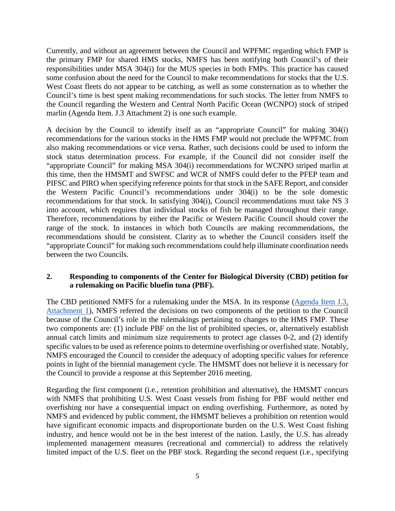Currently, and without an agreement between the Council and WPFMC regarding which FMP is the primary FMP for shared HMS stocks, NMFS has been notifying both Council's of their responsibilities under MSA 304(i) for the MUS species in both FMPs. This practice has caused some confusion about the need for the Council to make recommendations for stocks that the U.S. West Coast fleets do not appear to be catching, as well as some consternation as to whether the Council's time is best spent making recommendations for such stocks. The letter from NMFS to the Council regarding the Western and Central North Pacific Ocean (WCNPO) stock of striped marlin (Agenda Item. J.3 Attachment 2) is one such example.

A decision by the Council to identify itself as an "appropriate Council" for making 304(i) recommendations for the various stocks in the HMS FMP would not preclude the WPFMC from also making recommendations or vice versa. Rather, such decisions could be used to inform the stock status determination process. For example, if the Council did not consider itself the "appropriate Council" for making MSA 304(i) recommendations for WCNPO striped marlin at this time, then the HMSMT and SWFSC and WCR of NMFS could defer to the PFEP team and PIFSC and PIRO when specifying reference points for that stock in the SAFE Report, and consider the Western Pacific Council's recommendations under 304(i) to be the sole domestic recommendations for that stock. In satisfying 304(i), Council recommendations must take NS 3 into account, which requires that individual stocks of fish be managed throughout their range. Therefore, recommendations by either the Pacific or Western Pacific Council should cover the range of the stock. In instances in which both Councils are making recommendations, the recommendations should be consistent. Clarity as to whether the Council considers itself the "appropriate Council" for making such recommendations could help illuminate coordination needs between the two Councils.

## **2. Responding to components of the Center for Biological Diversity (CBD) petition for a rulemaking on Pacific bluefin tuna (PBF).**

The CBD petitioned NMFS for a rulemaking under the MSA. In its response [\(Agenda Item](http://www.pcouncil.org/wp-content/uploads/2016/08/J3_Att1_NMFSpetitionResponse_SEPT2016BB.pdf) [J.3,](http://www.pcouncil.org/wp-content/uploads/2016/08/J3_Att1_NMFSpetitionResponse_SEPT2016BB.pdf) [Attachment 1\)](http://www.pcouncil.org/wp-content/uploads/2016/08/J3_Att1_NMFSpetitionResponse_SEPT2016BB.pdf), NMFS referred the decisions on two components of the petition to the Council because of the Council's role in the rulemakings pertaining to changes to the HMS FMP. These two components are: (1) include PBF on the list of prohibited species, or, alternatively establish annual catch limits and minimum size requirements to protect age classes 0-2, and (2) identify specific values to be used as reference points to determine overfishing or overfished state. Notably, NMFS encouraged the Council to consider the adequacy of adopting specific values for reference points in light of the biennial management cycle. The HMSMT does not believe it is necessary for the Council to provide a response at this September 2016 meeting.

Regarding the first component (i.e., retention prohibition and alternative), the HMSMT concurs with NMFS that prohibiting U.S. West Coast vessels from fishing for PBF would neither end overfishing nor have a consequential impact on ending overfishing. Furthermore, as noted by NMFS and evidenced by public comment, the HMSMT believes a prohibition on retention would have significant economic impacts and disproportionate burden on the U.S. West Coast fishing industry, and hence would not be in the best interest of the nation. Lastly, the U.S. has already implemented management measures (recreational and commercial) to address the relatively limited impact of the U.S. fleet on the PBF stock. Regarding the second request (i.e., specifying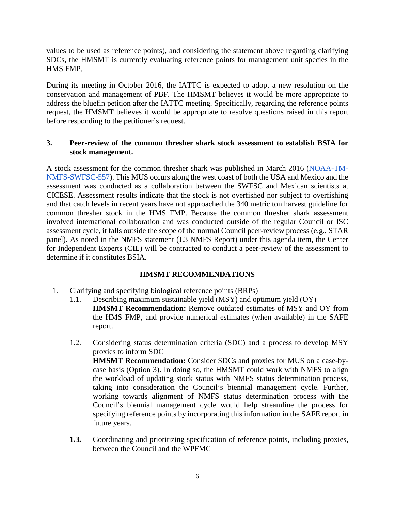values to be used as reference points), and considering the statement above regarding clarifying SDCs, the HMSMT is currently evaluating reference points for management unit species in the HMS FMP.

During its meeting in October 2016, the IATTC is expected to adopt a new resolution on the conservation and management of PBF. The HMSMT believes it would be more appropriate to address the bluefin petition after the IATTC meeting. Specifically, regarding the reference points request, the HMSMT believes it would be appropriate to resolve questions raised in this report before responding to the petitioner's request.

#### **3. Peer-review of the common thresher shark stock assessment to establish BSIA for stock management.**

A stock assessment for the common thresher shark was published in March 2016 [\(NOAA-TM-](https://swfsc.noaa.gov/publications/TM/SWFSC/NOAA-TM-NMFS-SWFSC-557.pdf)[NMFS-SWFSC-557\)](https://swfsc.noaa.gov/publications/TM/SWFSC/NOAA-TM-NMFS-SWFSC-557.pdf). This MUS occurs along the west coast of both the USA and Mexico and the assessment was conducted as a collaboration between the SWFSC and Mexican scientists at CICESE. Assessment results indicate that the stock is not overfished nor subject to overfishing and that catch levels in recent years have not approached the 340 metric ton harvest guideline for common thresher stock in the HMS FMP. Because the common thresher shark assessment involved international collaboration and was conducted outside of the regular Council or ISC assessment cycle, it falls outside the scope of the normal Council peer-review process (e.g., STAR panel). As noted in the NMFS statement (J.3 NMFS Report) under this agenda item, the Center for Independent Experts (CIE) will be contracted to conduct a peer-review of the assessment to determine if it constitutes BSIA.

## **HMSMT RECOMMENDATIONS**

- 1. Clarifying and specifying biological reference points (BRPs)
	- 1.1. Describing maximum sustainable yield (MSY) and optimum yield (OY) **HMSMT Recommendation:** Remove outdated estimates of MSY and OY from the HMS FMP, and provide numerical estimates (when available) in the SAFE report.
	- 1.2. Considering status determination criteria (SDC) and a process to develop MSY proxies to inform SDC **HMSMT Recommendation:** Consider SDCs and proxies for MUS on a case-bycase basis (Option 3). In doing so, the HMSMT could work with NMFS to align the workload of updating stock status with NMFS status determination process, taking into consideration the Council's biennial management cycle. Further, working towards alignment of NMFS status determination process with the Council's biennial management cycle would help streamline the process for specifying reference points by incorporating this information in the SAFE report in future years.
	- **1.3.** Coordinating and prioritizing specification of reference points, including proxies, between the Council and the WPFMC